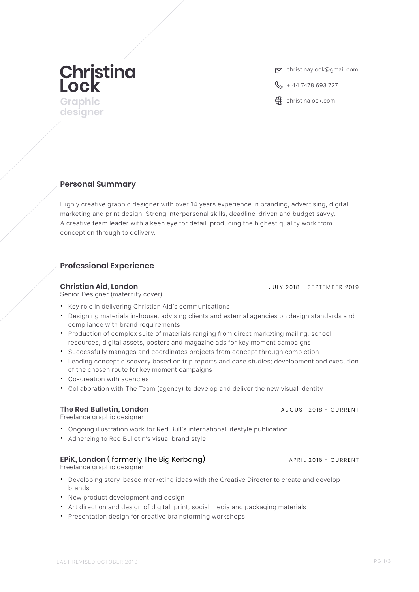# **Christina**<br>Lock

**designer**

christinaylock@gmail.com

 $\frac{1}{2}$  + 44 7478 693 727

Graphic **Graphic Community Community Community Community Community Community Community Community Community Community Community Community Community Community Community Community Community**

# **Personal Summary**

Highly creative graphic designer with over 14 years experience in branding, advertising, digital marketing and print design. Strong interpersonal skills, deadline-driven and budget savvy. A creative team leader with a keen eye for detail, producing the highest quality work from conception through to delivery.

# **Professional Experience**

### **Christian Aid, London** JULY 2018 - SEPTEMBER 2019

Senior Designer (maternity cover)

- Key role in delivering Christian Aid's communications
- Designing materials in-house, advising clients and external agencies on design standards and compliance with brand requirements
- Production of complex suite of materials ranging from direct marketing mailing, school resources, digital assets, posters and magazine ads for key moment campaigns
- x Successfully manages and coordinates projects from concept through completion
- Leading concept discovery based on trip reports and case studies; development and execution of the chosen route for key moment campaigns
- Co-creation with agencies
- Collaboration with The Team (agency) to develop and deliver the new visual identity

### **The Red Bulletin, London AUGUST 2018 - CURRENT**

Freelance graphic designer

- Ongoing illustration work for Red Bull's international lifestyle publication
- Adhereing to Red Bulletin's visual brand style

# **EPIK, London (** formerly The Big Kerbang) APRIL 2016 - CURRENT

Freelance graphic designer

- Developing story-based marketing ideas with the Creative Director to create and develop brands
- New product development and design
- Art direction and design of digital, print, social media and packaging materials
- Presentation design for creative brainstorming workshops

PG 1/3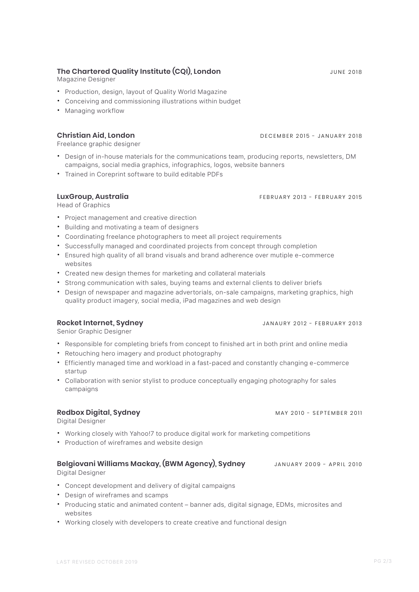### **The Chartered Quality Institute (CQI), London** JUNE 2018

Magazine Designer

- x Production, design, layout of Quality World Magazine
- x Conceiving and commissioning illustrations within budget
- Managing workflow

Freelance graphic designer

- Design of in-house materials for the communications team, producing reports, newsletters, DM campaigns, social media graphics, infographics, logos, website banners
- **\*** Trained in Coreprint software to build editable PDFs

### **LuxGroup, Australia** FEBRUARY 2013 - FEBRUARY 2015

Head of Graphics

- x Project management and creative direction
- x Building and motivating a team of designers
- x Coordinating freelance photographers to meet all project requirements
- \* Successfully managed and coordinated projects from concept through completion
- **Ensured high quality of all brand visuals and brand adherence over mutiple e-commerce** websites
- Created new design themes for marketing and collateral materials
- \* Strong communication with sales, buying teams and external clients to deliver briefs
- Design of newspaper and magazine advertorials, on-sale campaigns, marketing graphics, high quality product imagery, social media, iPad magazines and web design

Senior Graphic Designer

- Responsible for completing briefs from concept to finished art in both print and online media
- Retouching hero imagery and product photography
- Efficiently managed time and workload in a fast-paced and constantly changing e-commerce startup
- Collaboration with senior stylist to produce conceptually engaging photography for sales campaigns

Digital Designer

- Working closely with Yahoo!7 to produce digital work for marketing competitions
- Production of wireframes and website design

### **Belgiovani Williams Mackay, (BWM Agency), Sydney** JANUARY 2009 - APRIL 2010

Digital Designer

- x Concept development and delivery of digital campaigns
- Design of wireframes and scamps
- x Producing static and animated content banner ads, digital signage, EDMs, microsites and websites
- Working closely with developers to create creative and functional design

**Redbox Digital, Sydney** MAY 2010 - SEPTEMBER 2011

# **Rocket Internet, Sydney** JANAURY 2012 - FEBRUARY 2013

# **Christian Aid, London** DECEMBER 2015 - JANUARY 2018